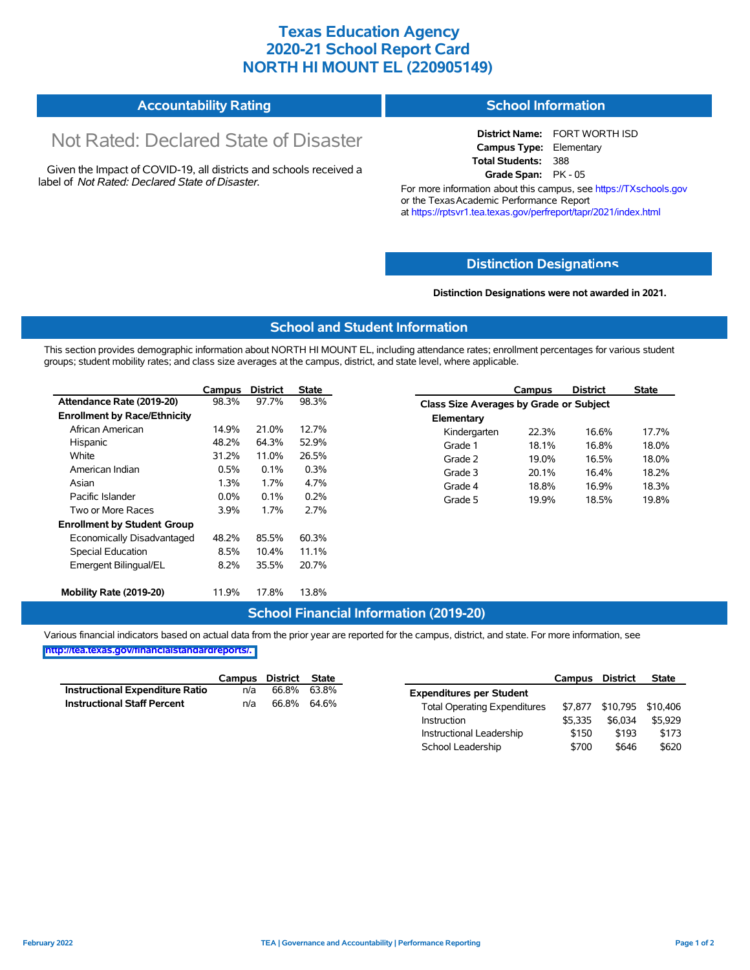# **Texas Education Agency 2020-21 School Report Card NORTH HI MOUNT EL (220905149)**

#### **Accountability Rating School Information**

# Not Rated: Declared State of Disaster

Given the Impact of COVID-19, all districts and schools received a label of *Not Rated: Declared State of Disaster.*

**District Name:** FORT WORTH ISD **Campus Type:** Elementary **Total Students:** 388 **Grade Span:** PK - 05

For more information about this campus, see https://TXschools.gov or the Texas Academic Performance Report at https://rptsvr1.tea.texas.gov/perfreport/tapr/2021/index.html

### **Distinction Designat[ions](https://TXschools.gov)**

**Distinction Designations were not awarded in 2021.**

School Leadership  $$700$  \$646 \$620

#### **School and Student Information**

This section provides demographic information about NORTH HI MOUNT EL, including attendance rates; enrollment percentages for various student groups; student mobility rates; and class size averages at the campus, district, and state level, where applicable.

|                                     | Campus  | <b>District</b> | <b>State</b> |              | Campus                                  | <b>District</b> | <b>State</b> |  |  |  |
|-------------------------------------|---------|-----------------|--------------|--------------|-----------------------------------------|-----------------|--------------|--|--|--|
| Attendance Rate (2019-20)           | 98.3%   | 97.7%           | 98.3%        |              | Class Size Averages by Grade or Subject |                 |              |  |  |  |
| <b>Enrollment by Race/Ethnicity</b> |         |                 |              | Elementary   |                                         |                 |              |  |  |  |
| African American                    | 14.9%   | 21.0%           | 12.7%        | Kindergarten | 22.3%                                   | 16.6%           | 17.7%        |  |  |  |
| Hispanic                            | 48.2%   | 64.3%           | 52.9%        | Grade 1      | 18.1%                                   | 16.8%           | 18.0%        |  |  |  |
| White                               | 31.2%   | 11.0%           | 26.5%        | Grade 2      | 19.0%                                   | 16.5%           | 18.0%        |  |  |  |
| American Indian                     | 0.5%    | 0.1%            | 0.3%         | Grade 3      | 20.1%                                   | 16.4%           | 18.2%        |  |  |  |
| Asian                               | 1.3%    | 1.7%            | 4.7%         | Grade 4      | 18.8%                                   | 16.9%           | 18.3%        |  |  |  |
| Pacific Islander                    | $0.0\%$ | 0.1%            | 0.2%         | Grade 5      | 19.9%                                   | 18.5%           | 19.8%        |  |  |  |
| Two or More Races                   | 3.9%    | 1.7%            | 2.7%         |              |                                         |                 |              |  |  |  |
| <b>Enrollment by Student Group</b>  |         |                 |              |              |                                         |                 |              |  |  |  |
| Economically Disadvantaged          | 48.2%   | 85.5%           | 60.3%        |              |                                         |                 |              |  |  |  |
| Special Education                   | 8.5%    | 10.4%           | 11.1%        |              |                                         |                 |              |  |  |  |
| Emergent Bilingual/EL               | 8.2%    | 35.5%           | 20.7%        |              |                                         |                 |              |  |  |  |
|                                     |         |                 |              |              |                                         |                 |              |  |  |  |
| Mobility Rate (2019-20)             | 11.9%   | 17.8%           | 13.8%        |              |                                         |                 |              |  |  |  |

#### **School Financial Information (2019-20)**

Various financial indicators based on actual data from the prior year are reported for the campus, district, and state. For more information, see

**[http://tea.texas.gov/financialstandardreports/.](http://tea.texas.gov/financialstandardreports/)**

|                                        | Campus | District | State |                                     | Campus  | <b>District</b>           | <b>State</b> |
|----------------------------------------|--------|----------|-------|-------------------------------------|---------|---------------------------|--------------|
| <b>Instructional Expenditure Ratio</b> | n/a    | 66.8%    | 63.8% | <b>Expenditures per Student</b>     |         |                           |              |
| <b>Instructional Staff Percent</b>     | n/a    | 66.8%    | 64.6% | <b>Total Operating Expenditures</b> |         | \$7,877 \$10,795 \$10,406 |              |
|                                        |        |          |       | Instruction                         | \$5.335 | \$6.034                   | \$5.929      |
|                                        |        |          |       | Instructional Leadership            | \$150   | \$193                     | \$173        |